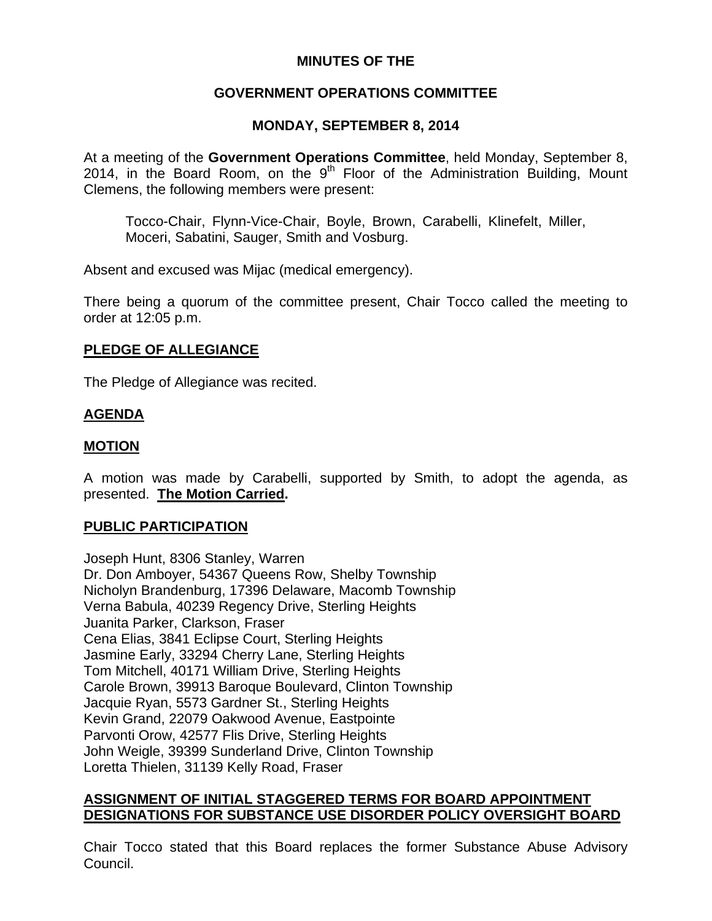# **MINUTES OF THE**

# **GOVERNMENT OPERATIONS COMMITTEE**

# **MONDAY, SEPTEMBER 8, 2014**

At a meeting of the **Government Operations Committee**, held Monday, September 8, 2014, in the Board Room, on the  $9<sup>th</sup>$  Floor of the Administration Building, Mount Clemens, the following members were present:

Tocco-Chair, Flynn-Vice-Chair, Boyle, Brown, Carabelli, Klinefelt, Miller, Moceri, Sabatini, Sauger, Smith and Vosburg.

Absent and excused was Mijac (medical emergency).

There being a quorum of the committee present, Chair Tocco called the meeting to order at 12:05 p.m.

# **PLEDGE OF ALLEGIANCE**

The Pledge of Allegiance was recited.

# **AGENDA**

# **MOTION**

A motion was made by Carabelli, supported by Smith, to adopt the agenda, as presented. **The Motion Carried.** 

# **PUBLIC PARTICIPATION**

Joseph Hunt, 8306 Stanley, Warren Dr. Don Amboyer, 54367 Queens Row, Shelby Township Nicholyn Brandenburg, 17396 Delaware, Macomb Township Verna Babula, 40239 Regency Drive, Sterling Heights Juanita Parker, Clarkson, Fraser Cena Elias, 3841 Eclipse Court, Sterling Heights Jasmine Early, 33294 Cherry Lane, Sterling Heights Tom Mitchell, 40171 William Drive, Sterling Heights Carole Brown, 39913 Baroque Boulevard, Clinton Township Jacquie Ryan, 5573 Gardner St., Sterling Heights Kevin Grand, 22079 Oakwood Avenue, Eastpointe Parvonti Orow, 42577 Flis Drive, Sterling Heights John Weigle, 39399 Sunderland Drive, Clinton Township Loretta Thielen, 31139 Kelly Road, Fraser

# **ASSIGNMENT OF INITIAL STAGGERED TERMS FOR BOARD APPOINTMENT DESIGNATIONS FOR SUBSTANCE USE DISORDER POLICY OVERSIGHT BOARD**

Chair Tocco stated that this Board replaces the former Substance Abuse Advisory Council.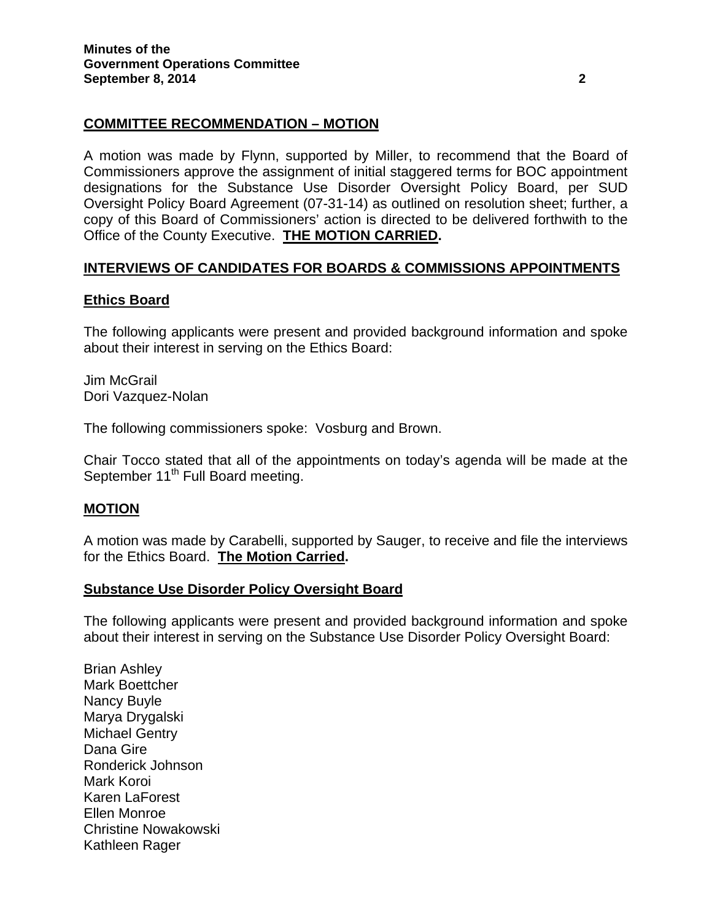# **COMMITTEE RECOMMENDATION – MOTION**

A motion was made by Flynn, supported by Miller, to recommend that the Board of Commissioners approve the assignment of initial staggered terms for BOC appointment designations for the Substance Use Disorder Oversight Policy Board, per SUD Oversight Policy Board Agreement (07-31-14) as outlined on resolution sheet; further, a copy of this Board of Commissioners' action is directed to be delivered forthwith to the Office of the County Executive. **THE MOTION CARRIED.**

# **INTERVIEWS OF CANDIDATES FOR BOARDS & COMMISSIONS APPOINTMENTS**

# **Ethics Board**

The following applicants were present and provided background information and spoke about their interest in serving on the Ethics Board:

Jim McGrail Dori Vazquez-Nolan

The following commissioners spoke: Vosburg and Brown.

Chair Tocco stated that all of the appointments on today's agenda will be made at the September 11<sup>th</sup> Full Board meeting.

## **MOTION**

A motion was made by Carabelli, supported by Sauger, to receive and file the interviews for the Ethics Board. **The Motion Carried.** 

## **Substance Use Disorder Policy Oversight Board**

The following applicants were present and provided background information and spoke about their interest in serving on the Substance Use Disorder Policy Oversight Board:

Brian Ashley Mark Boettcher Nancy Buyle Marya Drygalski Michael Gentry Dana Gire Ronderick Johnson Mark Koroi Karen LaForest Ellen Monroe Christine Nowakowski Kathleen Rager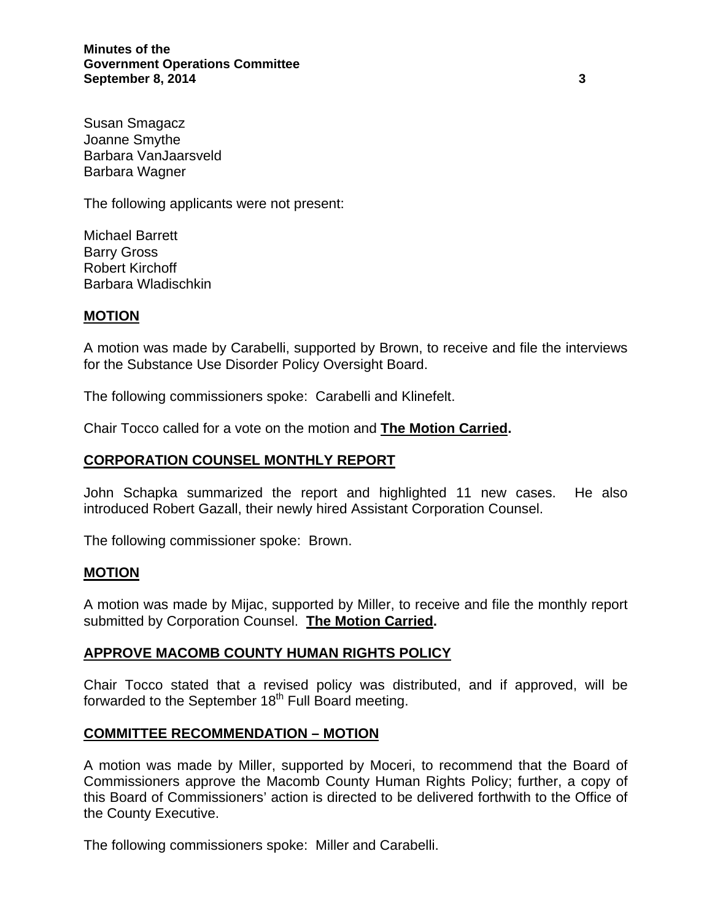**Minutes of the Government Operations Committee September 8, 2014** 3

Susan Smagacz Joanne Smythe Barbara VanJaarsveld Barbara Wagner

The following applicants were not present:

Michael Barrett Barry Gross Robert Kirchoff Barbara Wladischkin

#### **MOTION**

A motion was made by Carabelli, supported by Brown, to receive and file the interviews for the Substance Use Disorder Policy Oversight Board.

The following commissioners spoke: Carabelli and Klinefelt.

Chair Tocco called for a vote on the motion and **The Motion Carried.**

## **CORPORATION COUNSEL MONTHLY REPORT**

John Schapka summarized the report and highlighted 11 new cases. He also introduced Robert Gazall, their newly hired Assistant Corporation Counsel.

The following commissioner spoke: Brown.

#### **MOTION**

A motion was made by Mijac, supported by Miller, to receive and file the monthly report submitted by Corporation Counsel. **The Motion Carried.** 

#### **APPROVE MACOMB COUNTY HUMAN RIGHTS POLICY**

Chair Tocco stated that a revised policy was distributed, and if approved, will be forwarded to the September  $18<sup>th</sup>$  Full Board meeting.

#### **COMMITTEE RECOMMENDATION – MOTION**

A motion was made by Miller, supported by Moceri, to recommend that the Board of Commissioners approve the Macomb County Human Rights Policy; further, a copy of this Board of Commissioners' action is directed to be delivered forthwith to the Office of the County Executive.

The following commissioners spoke: Miller and Carabelli.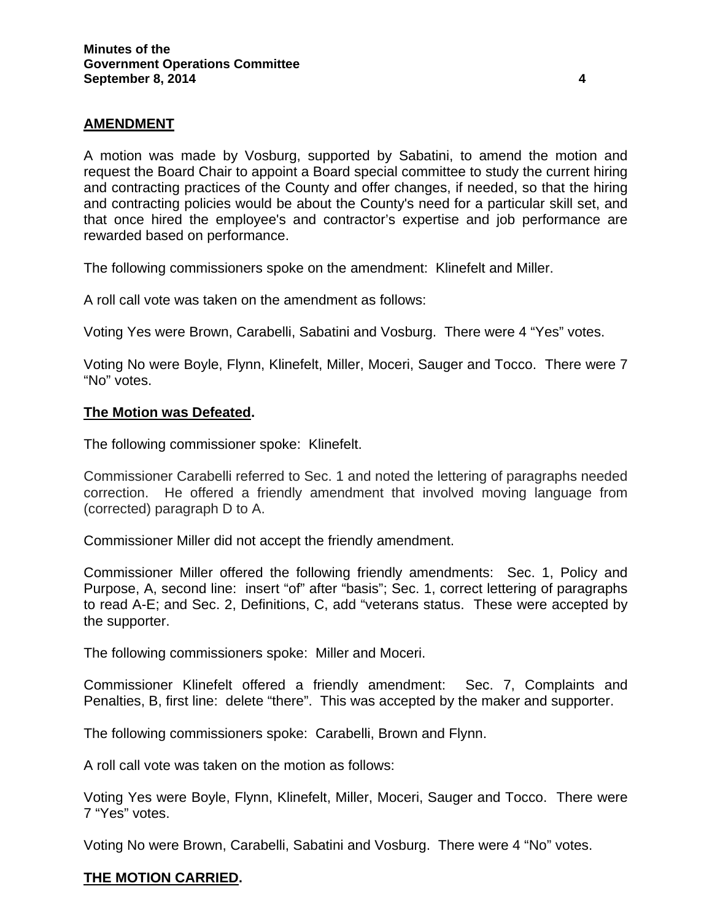# **AMENDMENT**

A motion was made by Vosburg, supported by Sabatini, to amend the motion and request the Board Chair to appoint a Board special committee to study the current hiring and contracting practices of the County and offer changes, if needed, so that the hiring and contracting policies would be about the County's need for a particular skill set, and that once hired the employee's and contractor's expertise and job performance are rewarded based on performance.

The following commissioners spoke on the amendment: Klinefelt and Miller.

A roll call vote was taken on the amendment as follows:

Voting Yes were Brown, Carabelli, Sabatini and Vosburg. There were 4 "Yes" votes.

Voting No were Boyle, Flynn, Klinefelt, Miller, Moceri, Sauger and Tocco. There were 7 "No" votes.

## **The Motion was Defeated.**

The following commissioner spoke: Klinefelt.

Commissioner Carabelli referred to Sec. 1 and noted the lettering of paragraphs needed correction. He offered a friendly amendment that involved moving language from (corrected) paragraph D to A.

Commissioner Miller did not accept the friendly amendment.

Commissioner Miller offered the following friendly amendments: Sec. 1, Policy and Purpose, A, second line: insert "of" after "basis"; Sec. 1, correct lettering of paragraphs to read A-E; and Sec. 2, Definitions, C, add "veterans status. These were accepted by the supporter.

The following commissioners spoke: Miller and Moceri.

Commissioner Klinefelt offered a friendly amendment: Sec. 7, Complaints and Penalties, B, first line: delete "there". This was accepted by the maker and supporter.

The following commissioners spoke: Carabelli, Brown and Flynn.

A roll call vote was taken on the motion as follows:

Voting Yes were Boyle, Flynn, Klinefelt, Miller, Moceri, Sauger and Tocco. There were 7 "Yes" votes.

Voting No were Brown, Carabelli, Sabatini and Vosburg. There were 4 "No" votes.

## **THE MOTION CARRIED.**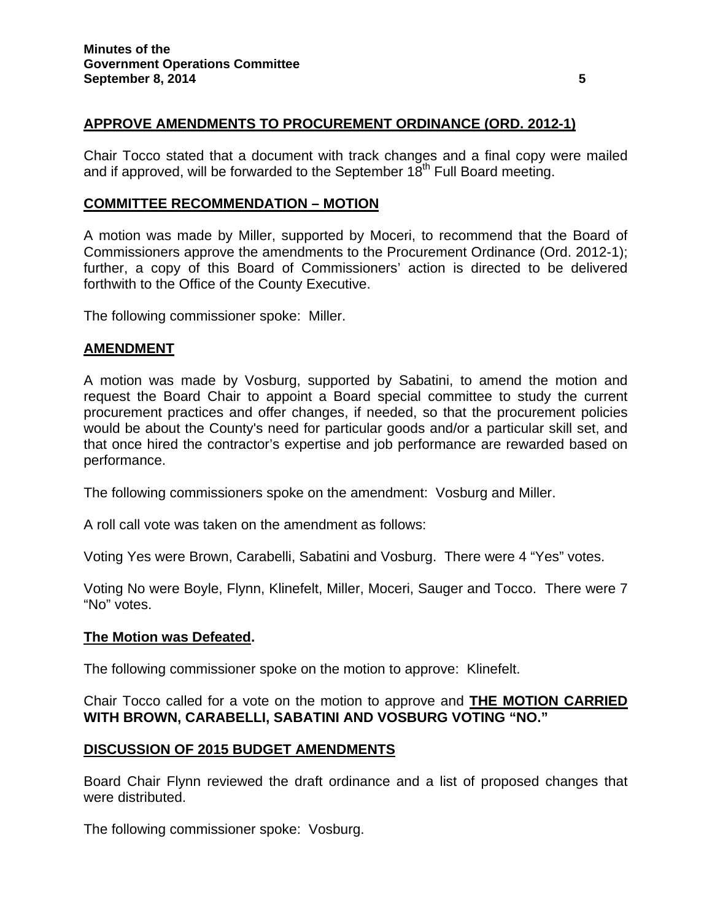# **APPROVE AMENDMENTS TO PROCUREMENT ORDINANCE (ORD. 2012-1)**

Chair Tocco stated that a document with track changes and a final copy were mailed and if approved, will be forwarded to the September  $18<sup>th</sup>$  Full Board meeting.

## **COMMITTEE RECOMMENDATION – MOTION**

A motion was made by Miller, supported by Moceri, to recommend that the Board of Commissioners approve the amendments to the Procurement Ordinance (Ord. 2012-1); further, a copy of this Board of Commissioners' action is directed to be delivered forthwith to the Office of the County Executive.

The following commissioner spoke: Miller.

#### **AMENDMENT**

A motion was made by Vosburg, supported by Sabatini, to amend the motion and request the Board Chair to appoint a Board special committee to study the current procurement practices and offer changes, if needed, so that the procurement policies would be about the County's need for particular goods and/or a particular skill set, and that once hired the contractor's expertise and job performance are rewarded based on performance.

The following commissioners spoke on the amendment: Vosburg and Miller.

A roll call vote was taken on the amendment as follows:

Voting Yes were Brown, Carabelli, Sabatini and Vosburg. There were 4 "Yes" votes.

Voting No were Boyle, Flynn, Klinefelt, Miller, Moceri, Sauger and Tocco. There were 7 "No" votes.

#### **The Motion was Defeated.**

The following commissioner spoke on the motion to approve: Klinefelt.

Chair Tocco called for a vote on the motion to approve and **THE MOTION CARRIED WITH BROWN, CARABELLI, SABATINI AND VOSBURG VOTING "NO."**

## **DISCUSSION OF 2015 BUDGET AMENDMENTS**

Board Chair Flynn reviewed the draft ordinance and a list of proposed changes that were distributed.

The following commissioner spoke: Vosburg.